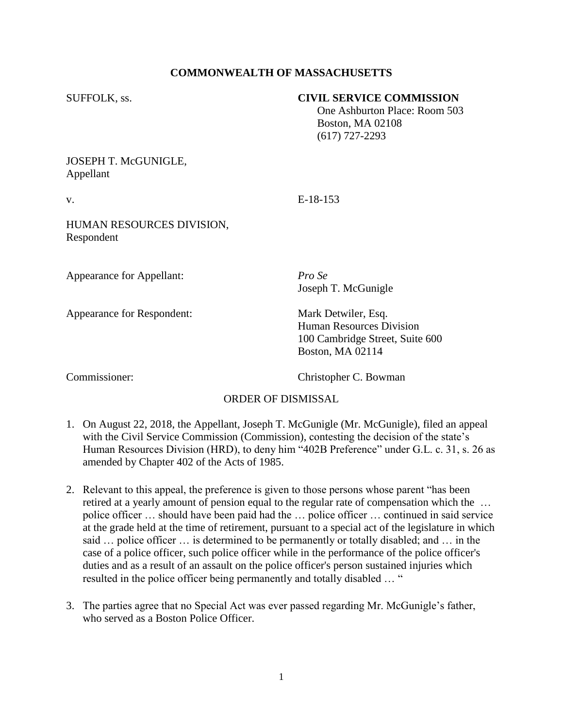# **COMMONWEALTH OF MASSACHUSETTS**

## SUFFOLK, ss. **CIVIL SERVICE COMMISSION**

 One Ashburton Place: Room 503 Boston, MA 02108 (617) 727-2293

# JOSEPH T. McGUNIGLE, Appellant

v. E-18-153

## HUMAN RESOURCES DIVISION, Respondent

Appearance for Appellant: *Pro Se*

Appearance for Respondent: Mark Detwiler, Esq.

Joseph T. McGunigle

Human Resources Division 100 Cambridge Street, Suite 600 Boston, MA 02114

Commissioner: Christopher C. Bowman

# ORDER OF DISMISSAL

- 1. On August 22, 2018, the Appellant, Joseph T. McGunigle (Mr. McGunigle), filed an appeal with the Civil Service Commission (Commission), contesting the decision of the state's Human Resources Division (HRD), to deny him "402B Preference" under G.L. c. 31, s. 26 as amended by Chapter 402 of the Acts of 1985.
- 2. Relevant to this appeal, the preference is given to those persons whose parent "has been retired at a yearly amount of pension equal to the regular rate of compensation which the … police officer … should have been paid had the … police officer … continued in said service at the grade held at the time of retirement, pursuant to a special act of the legislature in which said … police officer … is determined to be permanently or totally disabled; and … in the case of a police officer, such police officer while in the performance of the police officer's duties and as a result of an assault on the police officer's person sustained injuries which resulted in the police officer being permanently and totally disabled … "
- 3. The parties agree that no Special Act was ever passed regarding Mr. McGunigle's father, who served as a Boston Police Officer.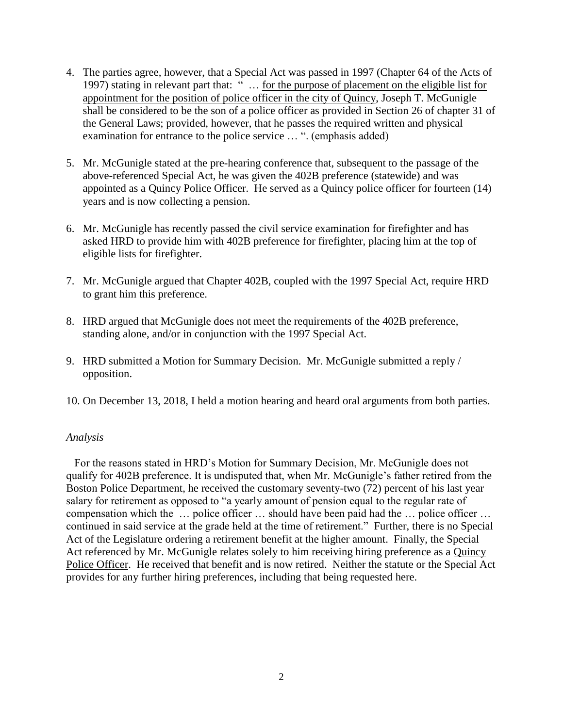- 4. The parties agree, however, that a Special Act was passed in 1997 (Chapter 64 of the Acts of 1997) stating in relevant part that: " … for the purpose of placement on the eligible list for appointment for the position of police officer in the city of Quincy, Joseph T. McGunigle shall be considered to be the son of a police officer as provided in Section 26 of chapter 31 of the General Laws; provided, however, that he passes the required written and physical examination for entrance to the police service … ". (emphasis added)
- 5. Mr. McGunigle stated at the pre-hearing conference that, subsequent to the passage of the above-referenced Special Act, he was given the 402B preference (statewide) and was appointed as a Quincy Police Officer. He served as a Quincy police officer for fourteen (14) years and is now collecting a pension.
- 6. Mr. McGunigle has recently passed the civil service examination for firefighter and has asked HRD to provide him with 402B preference for firefighter, placing him at the top of eligible lists for firefighter.
- 7. Mr. McGunigle argued that Chapter 402B, coupled with the 1997 Special Act, require HRD to grant him this preference.
- 8. HRD argued that McGunigle does not meet the requirements of the 402B preference, standing alone, and/or in conjunction with the 1997 Special Act.
- 9. HRD submitted a Motion for Summary Decision. Mr. McGunigle submitted a reply / opposition.
- 10. On December 13, 2018, I held a motion hearing and heard oral arguments from both parties.

## *Analysis*

 For the reasons stated in HRD's Motion for Summary Decision, Mr. McGunigle does not qualify for 402B preference. It is undisputed that, when Mr. McGunigle's father retired from the Boston Police Department, he received the customary seventy-two (72) percent of his last year salary for retirement as opposed to "a yearly amount of pension equal to the regular rate of compensation which the … police officer … should have been paid had the … police officer … continued in said service at the grade held at the time of retirement." Further, there is no Special Act of the Legislature ordering a retirement benefit at the higher amount. Finally, the Special Act referenced by Mr. McGunigle relates solely to him receiving hiring preference as a Quincy Police Officer. He received that benefit and is now retired. Neither the statute or the Special Act provides for any further hiring preferences, including that being requested here.